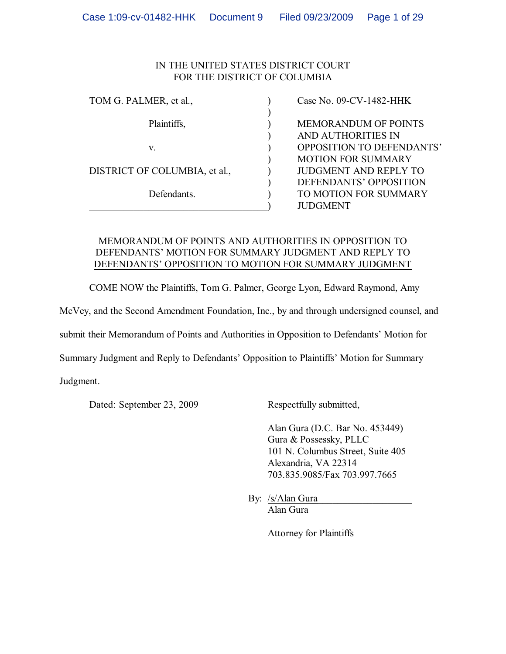# IN THE UNITED STATES DISTRICT COURT FOR THE DISTRICT OF COLUMBIA

| TOM G. PALMER, et al.,        | Case No. 09-CV-1482-HHK          |
|-------------------------------|----------------------------------|
|                               |                                  |
| Plaintiffs,                   | <b>MEMORANDUM OF POINTS</b>      |
|                               | AND AUTHORITIES IN               |
| V.                            | <b>OPPOSITION TO DEFENDANTS'</b> |
|                               | <b>MOTION FOR SUMMARY</b>        |
| DISTRICT OF COLUMBIA, et al., | <b>JUDGMENT AND REPLY TO</b>     |
|                               | DEFENDANTS' OPPOSITION           |
| Defendants.                   | TO MOTION FOR SUMMARY            |
|                               | <b>JUDGMENT</b>                  |

# MEMORANDUM OF POINTS AND AUTHORITIES IN OPPOSITION TO DEFENDANTS' MOTION FOR SUMMARY JUDGMENT AND REPLY TO DEFENDANTS' OPPOSITION TO MOTION FOR SUMMARY JUDGMENT

COME NOW the Plaintiffs, Tom G. Palmer, George Lyon, Edward Raymond, Amy

McVey, and the Second Amendment Foundation, Inc., by and through undersigned counsel, and

submit their Memorandum of Points and Authorities in Opposition to Defendants' Motion for

Summary Judgment and Reply to Defendants' Opposition to Plaintiffs' Motion for Summary

Judgment.

Dated: September 23, 2009 Respectfully submitted,

Alan Gura (D.C. Bar No. 453449) Gura & Possessky, PLLC 101 N. Columbus Street, Suite 405 Alexandria, VA 22314 703.835.9085/Fax 703.997.7665

By: /s/Alan Gura Alan Gura

Attorney for Plaintiffs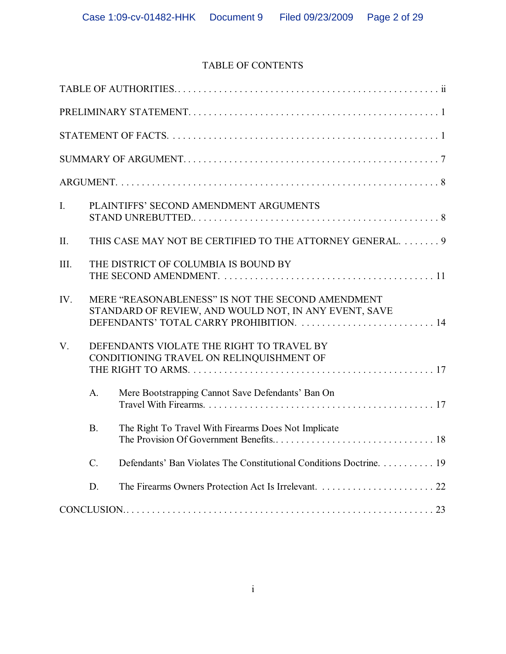# TABLE OF CONTENTS

| I.   |                 | PLAINTIFFS' SECOND AMENDMENT ARGUMENTS                                                                                                                 |
|------|-----------------|--------------------------------------------------------------------------------------------------------------------------------------------------------|
| Π.   |                 | THIS CASE MAY NOT BE CERTIFIED TO THE ATTORNEY GENERAL 9                                                                                               |
| III. |                 | THE DISTRICT OF COLUMBIA IS BOUND BY                                                                                                                   |
| IV.  |                 | MERE "REASONABLENESS" IS NOT THE SECOND AMENDMENT<br>STANDARD OF REVIEW, AND WOULD NOT, IN ANY EVENT, SAVE<br>DEFENDANTS' TOTAL CARRY PROHIBITION.  14 |
| V.   |                 | DEFENDANTS VIOLATE THE RIGHT TO TRAVEL BY<br>CONDITIONING TRAVEL ON RELINQUISHMENT OF                                                                  |
|      | A.              | Mere Bootstrapping Cannot Save Defendants' Ban On                                                                                                      |
|      | <b>B.</b>       | The Right To Travel With Firearms Does Not Implicate                                                                                                   |
|      | $\mathcal{C}$ . | Defendants' Ban Violates The Constitutional Conditions Doctrine. 19                                                                                    |
|      | D.              |                                                                                                                                                        |
|      |                 |                                                                                                                                                        |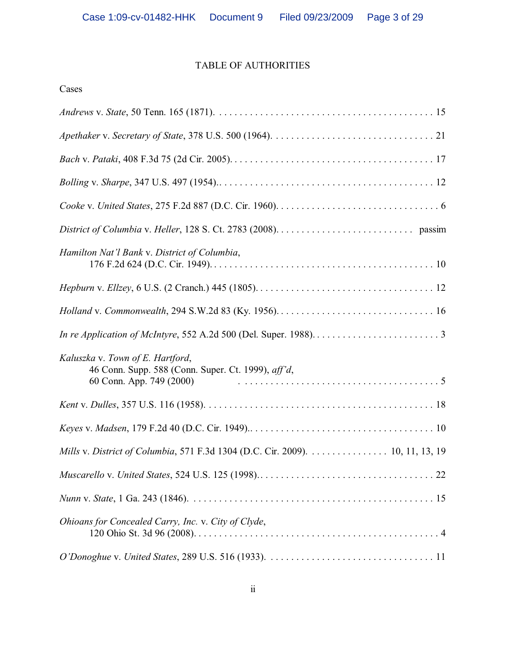# TABLE OF AUTHORITIES

| Cases                                                                                                                                   |
|-----------------------------------------------------------------------------------------------------------------------------------------|
|                                                                                                                                         |
| Apethaker v. Secretary of State, 378 U.S. 500 (1964). $\ldots \ldots \ldots \ldots \ldots \ldots \ldots \ldots \ldots \ldots \ldots 21$ |
|                                                                                                                                         |
|                                                                                                                                         |
|                                                                                                                                         |
|                                                                                                                                         |
| Hamilton Nat'l Bank v. District of Columbia,                                                                                            |
|                                                                                                                                         |
|                                                                                                                                         |
|                                                                                                                                         |
| Kaluszka v. Town of E. Hartford,<br>46 Conn. Supp. 588 (Conn. Super. Ct. 1999), aff'd,<br>60 Conn. App. 749 (2000)                      |
|                                                                                                                                         |
|                                                                                                                                         |
| Mills v. District of Columbia, 571 F.3d 1304 (D.C. Cir. 2009). 10, 11, 13, 19                                                           |
|                                                                                                                                         |
|                                                                                                                                         |
| Ohioans for Concealed Carry, Inc. v. City of Clyde,                                                                                     |
|                                                                                                                                         |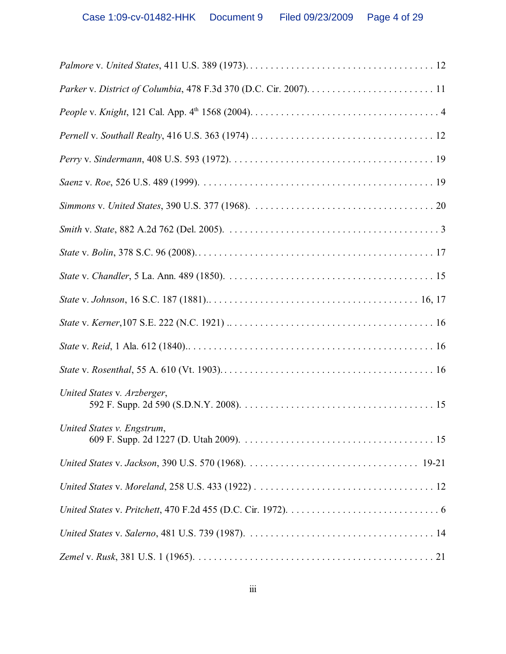| United States v. Arzberger, |
|-----------------------------|
| United States v. Engstrum,  |
|                             |
|                             |
|                             |
|                             |
|                             |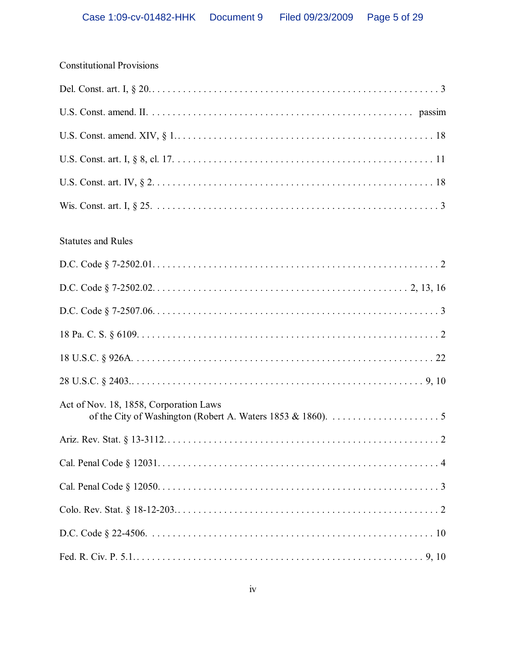| <b>Constitutional Provisions</b>       |
|----------------------------------------|
|                                        |
|                                        |
|                                        |
|                                        |
|                                        |
|                                        |
| <b>Statutes and Rules</b>              |
|                                        |
|                                        |
|                                        |
|                                        |
|                                        |
|                                        |
| Act of Nov. 18, 1858, Corporation Laws |
|                                        |
|                                        |
|                                        |
|                                        |
|                                        |
|                                        |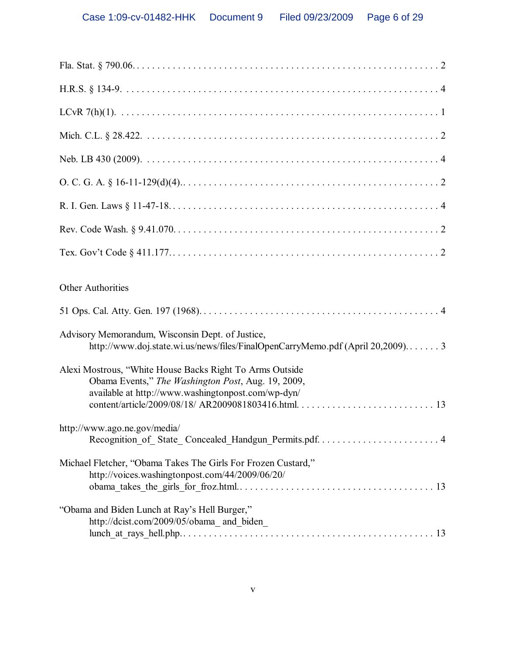| <b>Other Authorities</b>                                                                                                                                             |
|----------------------------------------------------------------------------------------------------------------------------------------------------------------------|
|                                                                                                                                                                      |
| Advisory Memorandum, Wisconsin Dept. of Justice,<br>http://www.doj.state.wi.us/news/files/FinalOpenCarryMemo.pdf (April 20,2009)3                                    |
| Alexi Mostrous, "White House Backs Right To Arms Outside<br>Obama Events," The Washington Post, Aug. 19, 2009,<br>available at http://www.washingtonpost.com/wp-dyn/ |
| http://www.ago.ne.gov/media/                                                                                                                                         |
| Michael Fletcher, "Obama Takes The Girls For Frozen Custard,"<br>http://voices.washingtonpost.com/44/2009/06/20/                                                     |
| "Obama and Biden Lunch at Ray's Hell Burger,"<br>http://dcist.com/2009/05/obama_and_biden_                                                                           |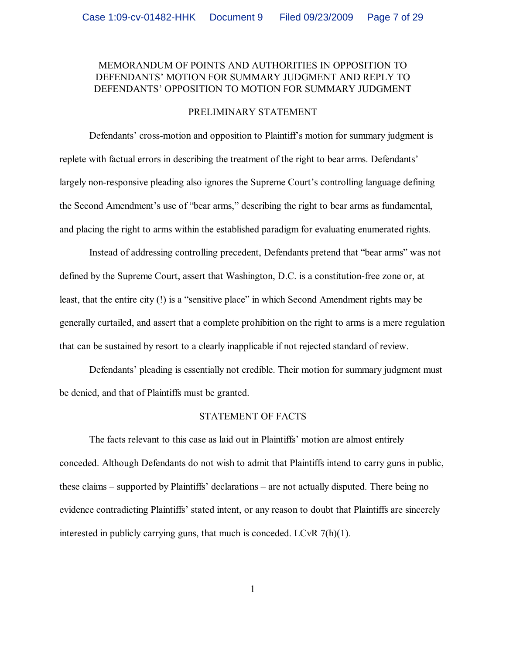### MEMORANDUM OF POINTS AND AUTHORITIES IN OPPOSITION TO DEFENDANTS' MOTION FOR SUMMARY JUDGMENT AND REPLY TO DEFENDANTS' OPPOSITION TO MOTION FOR SUMMARY JUDGMENT

#### PRELIMINARY STATEMENT

Defendants' cross-motion and opposition to Plaintiff's motion for summary judgment is replete with factual errors in describing the treatment of the right to bear arms. Defendants' largely non-responsive pleading also ignores the Supreme Court's controlling language defining the Second Amendment's use of "bear arms," describing the right to bear arms as fundamental, and placing the right to arms within the established paradigm for evaluating enumerated rights.

Instead of addressing controlling precedent, Defendants pretend that "bear arms" was not defined by the Supreme Court, assert that Washington, D.C. is a constitution-free zone or, at least, that the entire city (!) is a "sensitive place" in which Second Amendment rights may be generally curtailed, and assert that a complete prohibition on the right to arms is a mere regulation that can be sustained by resort to a clearly inapplicable if not rejected standard of review.

Defendants' pleading is essentially not credible. Their motion for summary judgment must be denied, and that of Plaintiffs must be granted.

#### STATEMENT OF FACTS

The facts relevant to this case as laid out in Plaintiffs' motion are almost entirely conceded. Although Defendants do not wish to admit that Plaintiffs intend to carry guns in public, these claims – supported by Plaintiffs' declarations – are not actually disputed. There being no evidence contradicting Plaintiffs' stated intent, or any reason to doubt that Plaintiffs are sincerely interested in publicly carrying guns, that much is conceded. LCvR 7(h)(1).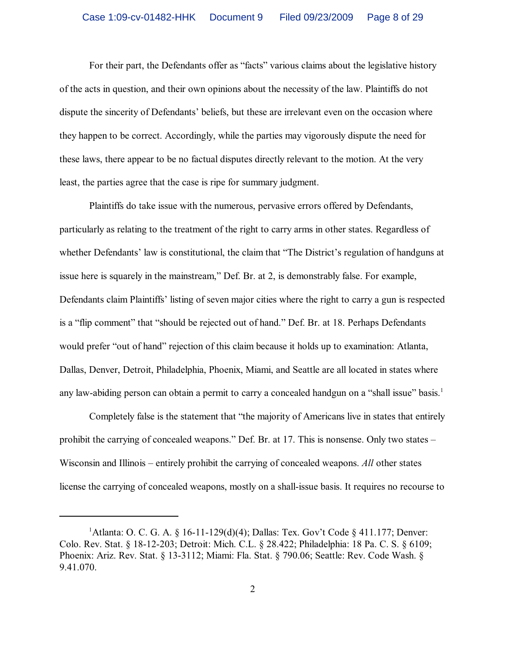For their part, the Defendants offer as "facts" various claims about the legislative history of the acts in question, and their own opinions about the necessity of the law. Plaintiffs do not dispute the sincerity of Defendants' beliefs, but these are irrelevant even on the occasion where they happen to be correct. Accordingly, while the parties may vigorously dispute the need for these laws, there appear to be no factual disputes directly relevant to the motion. At the very least, the parties agree that the case is ripe for summary judgment.

Plaintiffs do take issue with the numerous, pervasive errors offered by Defendants, particularly as relating to the treatment of the right to carry arms in other states. Regardless of whether Defendants' law is constitutional, the claim that "The District's regulation of handguns at issue here is squarely in the mainstream," Def. Br. at 2, is demonstrably false. For example, Defendants claim Plaintiffs' listing of seven major cities where the right to carry a gun is respected is a "flip comment" that "should be rejected out of hand." Def. Br. at 18. Perhaps Defendants would prefer "out of hand" rejection of this claim because it holds up to examination: Atlanta, Dallas, Denver, Detroit, Philadelphia, Phoenix, Miami, and Seattle are all located in states where any law-abiding person can obtain a permit to carry a concealed handgun on a "shall issue" basis.<sup>1</sup>

Completely false is the statement that "the majority of Americans live in states that entirely prohibit the carrying of concealed weapons." Def. Br. at 17. This is nonsense. Only two states – Wisconsin and Illinois – entirely prohibit the carrying of concealed weapons. *All* other states license the carrying of concealed weapons, mostly on a shall-issue basis. It requires no recourse to

<sup>&</sup>lt;sup>1</sup>Atlanta: O. C. G. A. § 16-11-129(d)(4); Dallas: Tex. Gov't Code § 411.177; Denver: Colo. Rev. Stat. § 18-12-203; Detroit: Mich. C.L. § 28.422; Philadelphia: 18 Pa. C. S. § 6109; Phoenix: Ariz. Rev. Stat. § 13-3112; Miami: Fla. Stat. § 790.06; Seattle: Rev. Code Wash. § 9.41.070.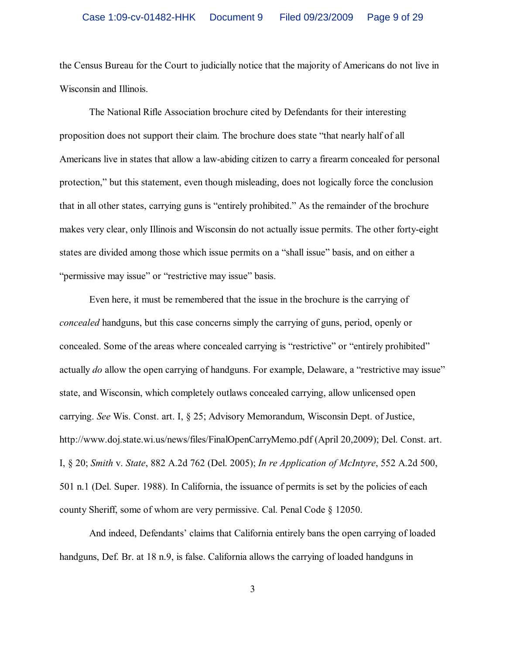the Census Bureau for the Court to judicially notice that the majority of Americans do not live in Wisconsin and Illinois.

The National Rifle Association brochure cited by Defendants for their interesting proposition does not support their claim. The brochure does state "that nearly half of all Americans live in states that allow a law-abiding citizen to carry a firearm concealed for personal protection," but this statement, even though misleading, does not logically force the conclusion that in all other states, carrying guns is "entirely prohibited." As the remainder of the brochure makes very clear, only Illinois and Wisconsin do not actually issue permits. The other forty-eight states are divided among those which issue permits on a "shall issue" basis, and on either a "permissive may issue" or "restrictive may issue" basis.

Even here, it must be remembered that the issue in the brochure is the carrying of *concealed* handguns, but this case concerns simply the carrying of guns, period, openly or concealed. Some of the areas where concealed carrying is "restrictive" or "entirely prohibited" actually *do* allow the open carrying of handguns. For example, Delaware, a "restrictive may issue" state, and Wisconsin, which completely outlaws concealed carrying, allow unlicensed open carrying. *See* Wis. Const. art. I, § 25; Advisory Memorandum, Wisconsin Dept. of Justice, http://www.doj.state.wi.us/news/files/FinalOpenCarryMemo.pdf (April 20,2009); Del. Const. art. I, § 20; *Smith* v. *State*, 882 A.2d 762 (Del. 2005); *In re Application of McIntyre*, 552 A.2d 500, 501 n.1 (Del. Super. 1988). In California, the issuance of permits is set by the policies of each county Sheriff, some of whom are very permissive. Cal. Penal Code § 12050.

And indeed, Defendants' claims that California entirely bans the open carrying of loaded handguns, Def. Br. at 18 n.9, is false. California allows the carrying of loaded handguns in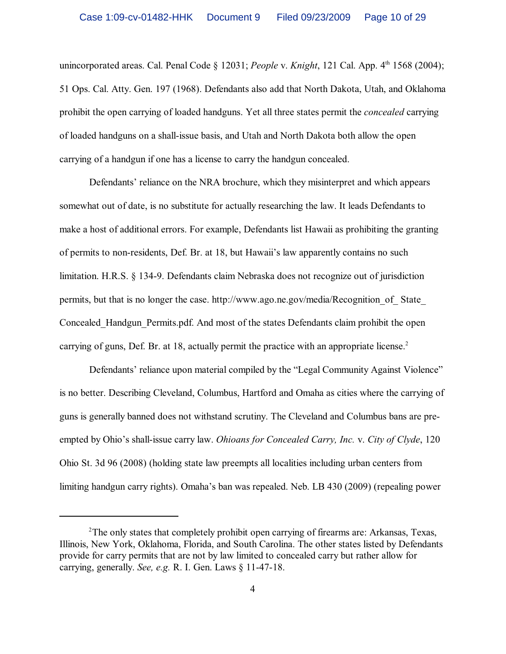unincorporated areas. Cal. Penal Code § 12031; *People v. Knight*, 121 Cal. App. 4<sup>th</sup> 1568 (2004); 51 Ops. Cal. Atty. Gen. 197 (1968). Defendants also add that North Dakota, Utah, and Oklahoma prohibit the open carrying of loaded handguns. Yet all three states permit the *concealed* carrying of loaded handguns on a shall-issue basis, and Utah and North Dakota both allow the open carrying of a handgun if one has a license to carry the handgun concealed.

Defendants' reliance on the NRA brochure, which they misinterpret and which appears somewhat out of date, is no substitute for actually researching the law. It leads Defendants to make a host of additional errors. For example, Defendants list Hawaii as prohibiting the granting of permits to non-residents, Def. Br. at 18, but Hawaii's law apparently contains no such limitation. H.R.S. § 134-9. Defendants claim Nebraska does not recognize out of jurisdiction permits, but that is no longer the case. http://www.ago.ne.gov/media/Recognition\_of\_ State\_ Concealed\_Handgun\_Permits.pdf. And most of the states Defendants claim prohibit the open carrying of guns, Def. Br. at 18, actually permit the practice with an appropriate license.<sup>2</sup>

Defendants' reliance upon material compiled by the "Legal Community Against Violence" is no better. Describing Cleveland, Columbus, Hartford and Omaha as cities where the carrying of guns is generally banned does not withstand scrutiny. The Cleveland and Columbus bans are preempted by Ohio's shall-issue carry law. *Ohioans for Concealed Carry, Inc.* v. *City of Clyde*, 120 Ohio St. 3d 96 (2008) (holding state law preempts all localities including urban centers from limiting handgun carry rights). Omaha's ban was repealed. Neb. LB 430 (2009) (repealing power

 $2$ The only states that completely prohibit open carrying of firearms are: Arkansas, Texas, Illinois, New York, Oklahoma, Florida, and South Carolina. The other states listed by Defendants provide for carry permits that are not by law limited to concealed carry but rather allow for carrying, generally. *See, e.g.* R. I. Gen. Laws § 11-47-18.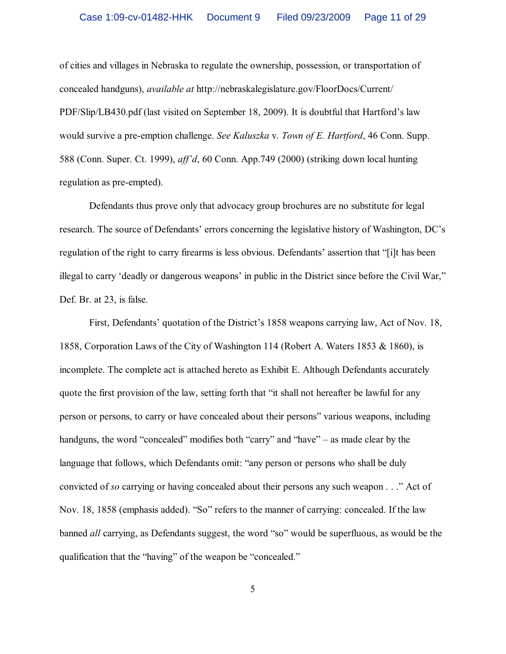of cities and villages in Nebraska to regulate the ownership, possession, or transportation of concealed handguns), *available at* http://nebraskalegislature.gov/FloorDocs/Current/ PDF/Slip/LB430.pdf (last visited on September 18, 2009). It is doubtful that Hartford's law would survive a pre-emption challenge. *See Kaluszka* v. *Town of E. Hartford*, 46 Conn. Supp. 588 (Conn. Super. Ct. 1999), *aff'd*, 60 Conn. App.749 (2000) (striking down local hunting regulation as pre-empted).

Defendants thus prove only that advocacy group brochures are no substitute for legal research. The source of Defendants' errors concerning the legislative history of Washington, DC's regulation of the right to carry firearms is less obvious. Defendants' assertion that "[i]t has been illegal to carry 'deadly or dangerous weapons' in public in the District since before the Civil War," Def. Br. at 23, is false.

First, Defendants' quotation of the District's 1858 weapons carrying law, Act of Nov. 18, 1858, Corporation Laws of the City of Washington 114 (Robert A. Waters 1853 & 1860), is incomplete. The complete act is attached hereto as Exhibit E. Although Defendants accurately quote the first provision of the law, setting forth that "it shall not hereafter be lawful for any person or persons, to carry or have concealed about their persons" various weapons, including handguns, the word "concealed" modifies both "carry" and "have" – as made clear by the language that follows, which Defendants omit: "any person or persons who shall be duly convicted of *so* carrying or having concealed about their persons any such weapon . . ." Act of Nov. 18, 1858 (emphasis added). "So" refers to the manner of carrying: concealed. If the law banned *all* carrying, as Defendants suggest, the word "so" would be superfluous, as would be the qualification that the "having" of the weapon be "concealed."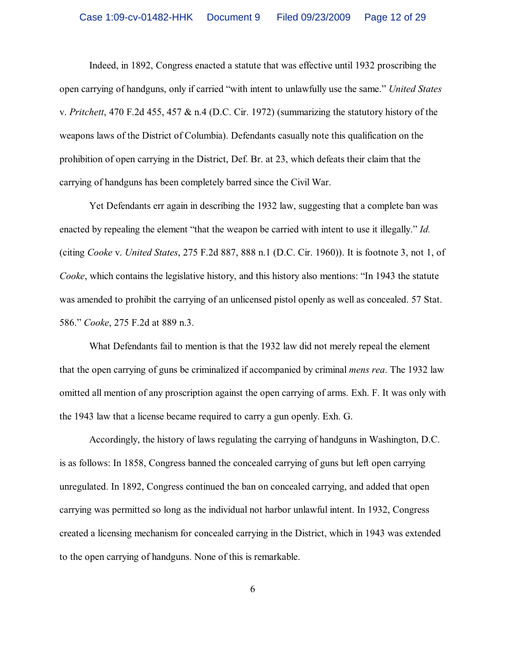Indeed, in 1892, Congress enacted a statute that was effective until 1932 proscribing the open carrying of handguns, only if carried "with intent to unlawfully use the same." *United States* v. *Pritchett*, 470 F.2d 455, 457 & n.4 (D.C. Cir. 1972) (summarizing the statutory history of the weapons laws of the District of Columbia). Defendants casually note this qualification on the prohibition of open carrying in the District, Def. Br. at 23, which defeats their claim that the carrying of handguns has been completely barred since the Civil War.

Yet Defendants err again in describing the 1932 law, suggesting that a complete ban was enacted by repealing the element "that the weapon be carried with intent to use it illegally." *Id.* (citing *Cooke* v. *United States*, 275 F.2d 887, 888 n.1 (D.C. Cir. 1960)). It is footnote 3, not 1, of *Cooke*, which contains the legislative history, and this history also mentions: "In 1943 the statute was amended to prohibit the carrying of an unlicensed pistol openly as well as concealed. 57 Stat. 586." *Cooke*, 275 F.2d at 889 n.3.

What Defendants fail to mention is that the 1932 law did not merely repeal the element that the open carrying of guns be criminalized if accompanied by criminal *mens rea*. The 1932 law omitted all mention of any proscription against the open carrying of arms. Exh. F. It was only with the 1943 law that a license became required to carry a gun openly. Exh. G.

Accordingly, the history of laws regulating the carrying of handguns in Washington, D.C. is as follows: In 1858, Congress banned the concealed carrying of guns but left open carrying unregulated. In 1892, Congress continued the ban on concealed carrying, and added that open carrying was permitted so long as the individual not harbor unlawful intent. In 1932, Congress created a licensing mechanism for concealed carrying in the District, which in 1943 was extended to the open carrying of handguns. None of this is remarkable.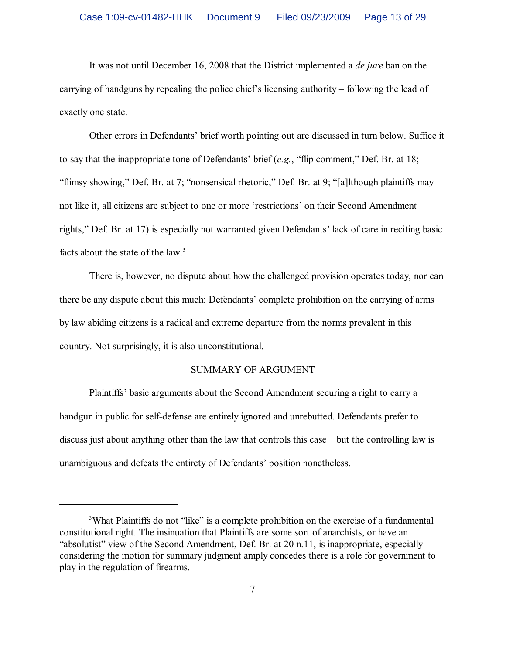It was not until December 16, 2008 that the District implemented a *de jure* ban on the carrying of handguns by repealing the police chief's licensing authority – following the lead of exactly one state.

Other errors in Defendants' brief worth pointing out are discussed in turn below. Suffice it to say that the inappropriate tone of Defendants' brief (*e.g.*, "flip comment," Def. Br. at 18; "flimsy showing," Def. Br. at 7; "nonsensical rhetoric," Def. Br. at 9; "[a]lthough plaintiffs may not like it, all citizens are subject to one or more 'restrictions' on their Second Amendment rights," Def. Br. at 17) is especially not warranted given Defendants' lack of care in reciting basic facts about the state of the law.<sup>3</sup>

There is, however, no dispute about how the challenged provision operates today, nor can there be any dispute about this much: Defendants' complete prohibition on the carrying of arms by law abiding citizens is a radical and extreme departure from the norms prevalent in this country. Not surprisingly, it is also unconstitutional.

#### SUMMARY OF ARGUMENT

Plaintiffs' basic arguments about the Second Amendment securing a right to carry a handgun in public for self-defense are entirely ignored and unrebutted. Defendants prefer to discuss just about anything other than the law that controls this case – but the controlling law is unambiguous and defeats the entirety of Defendants' position nonetheless.

<sup>&</sup>lt;sup>3</sup>What Plaintiffs do not "like" is a complete prohibition on the exercise of a fundamental constitutional right. The insinuation that Plaintiffs are some sort of anarchists, or have an "absolutist" view of the Second Amendment, Def. Br. at 20 n.11, is inappropriate, especially considering the motion for summary judgment amply concedes there is a role for government to play in the regulation of firearms.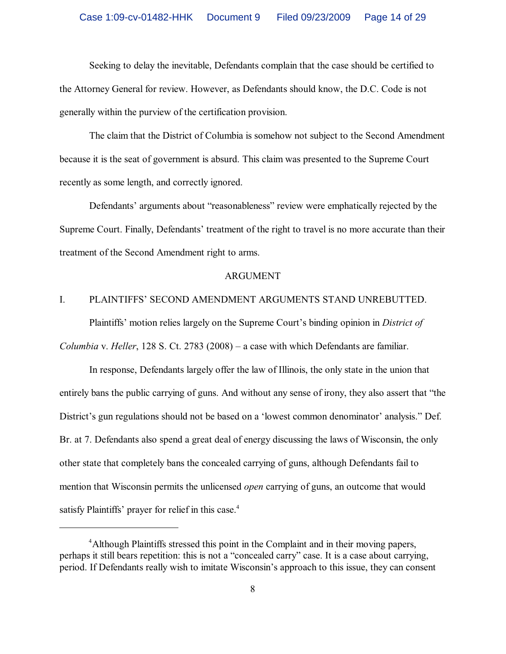Seeking to delay the inevitable, Defendants complain that the case should be certified to the Attorney General for review. However, as Defendants should know, the D.C. Code is not generally within the purview of the certification provision.

The claim that the District of Columbia is somehow not subject to the Second Amendment because it is the seat of government is absurd. This claim was presented to the Supreme Court recently as some length, and correctly ignored.

Defendants' arguments about "reasonableness" review were emphatically rejected by the Supreme Court. Finally, Defendants' treatment of the right to travel is no more accurate than their treatment of the Second Amendment right to arms.

#### ARGUMENT

## I. PLAINTIFFS' SECOND AMENDMENT ARGUMENTS STAND UNREBUTTED.

Plaintiffs' motion relies largely on the Supreme Court's binding opinion in *District of Columbia* v. *Heller*, 128 S. Ct. 2783 (2008) – a case with which Defendants are familiar.

In response, Defendants largely offer the law of Illinois, the only state in the union that entirely bans the public carrying of guns. And without any sense of irony, they also assert that "the District's gun regulations should not be based on a 'lowest common denominator' analysis." Def. Br. at 7. Defendants also spend a great deal of energy discussing the laws of Wisconsin, the only other state that completely bans the concealed carrying of guns, although Defendants fail to mention that Wisconsin permits the unlicensed *open* carrying of guns, an outcome that would satisfy Plaintiffs' prayer for relief in this case.<sup>4</sup>

<sup>&</sup>lt;sup>4</sup> Although Plaintiffs stressed this point in the Complaint and in their moving papers, perhaps it still bears repetition: this is not a "concealed carry" case. It is a case about carrying, period. If Defendants really wish to imitate Wisconsin's approach to this issue, they can consent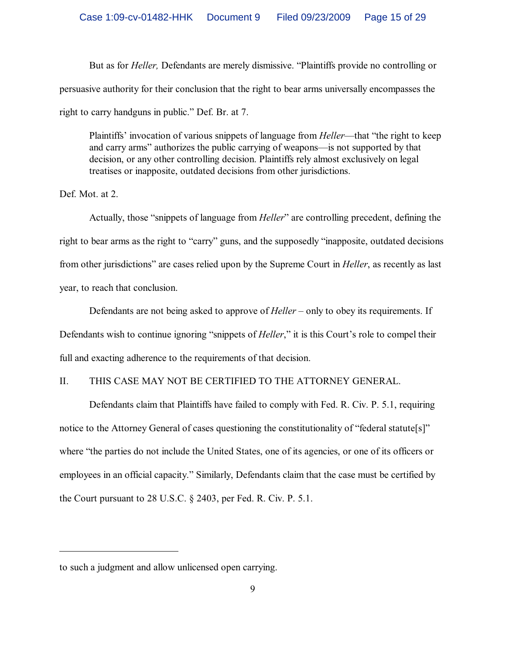But as for *Heller,* Defendants are merely dismissive. "Plaintiffs provide no controlling or persuasive authority for their conclusion that the right to bear arms universally encompasses the right to carry handguns in public." Def. Br. at 7.

Plaintiffs' invocation of various snippets of language from *Heller*—that "the right to keep and carry arms" authorizes the public carrying of weapons—is not supported by that decision, or any other controlling decision. Plaintiffs rely almost exclusively on legal treatises or inapposite, outdated decisions from other jurisdictions.

Def. Mot. at 2.

Actually, those "snippets of language from *Heller*" are controlling precedent, defining the right to bear arms as the right to "carry" guns, and the supposedly "inapposite, outdated decisions from other jurisdictions" are cases relied upon by the Supreme Court in *Heller*, as recently as last year, to reach that conclusion.

Defendants are not being asked to approve of *Heller* – only to obey its requirements. If Defendants wish to continue ignoring "snippets of *Heller*," it is this Court's role to compel their full and exacting adherence to the requirements of that decision.

## II. THIS CASE MAY NOT BE CERTIFIED TO THE ATTORNEY GENERAL.

Defendants claim that Plaintiffs have failed to comply with Fed. R. Civ. P. 5.1, requiring notice to the Attorney General of cases questioning the constitutionality of "federal statute<sup>[s]"</sup> where "the parties do not include the United States, one of its agencies, or one of its officers or employees in an official capacity." Similarly, Defendants claim that the case must be certified by the Court pursuant to 28 U.S.C. § 2403, per Fed. R. Civ. P. 5.1.

to such a judgment and allow unlicensed open carrying.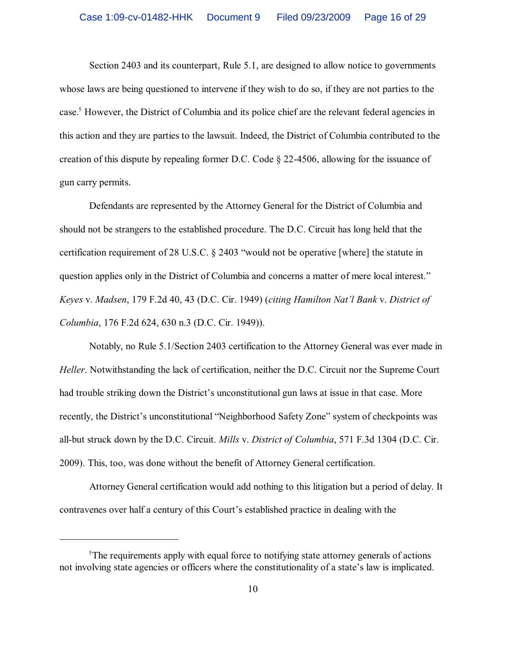Section 2403 and its counterpart, Rule 5.1, are designed to allow notice to governments whose laws are being questioned to intervene if they wish to do so, if they are not parties to the case.<sup>5</sup> However, the District of Columbia and its police chief are the relevant federal agencies in this action and they are parties to the lawsuit. Indeed, the District of Columbia contributed to the creation of this dispute by repealing former D.C. Code § 22-4506, allowing for the issuance of gun carry permits.

Defendants are represented by the Attorney General for the District of Columbia and should not be strangers to the established procedure. The D.C. Circuit has long held that the certification requirement of 28 U.S.C. § 2403 "would not be operative [where] the statute in question applies only in the District of Columbia and concerns a matter of mere local interest." *Keyes* v. *Madsen*, 179 F.2d 40, 43 (D.C. Cir. 1949) (*citing Hamilton Nat'l Bank* v. *District of Columbia*, 176 F.2d 624, 630 n.3 (D.C. Cir. 1949)).

Notably, no Rule 5.1/Section 2403 certification to the Attorney General was ever made in *Heller*. Notwithstanding the lack of certification, neither the D.C. Circuit nor the Supreme Court had trouble striking down the District's unconstitutional gun laws at issue in that case. More recently, the District's unconstitutional "Neighborhood Safety Zone" system of checkpoints was all-but struck down by the D.C. Circuit. *Mills* v. *District of Columbia*, 571 F.3d 1304 (D.C. Cir. 2009). This, too, was done without the benefit of Attorney General certification.

Attorney General certification would add nothing to this litigation but a period of delay. It contravenes over half a century of this Court's established practice in dealing with the

<sup>&</sup>lt;sup>5</sup>The requirements apply with equal force to notifying state attorney generals of actions not involving state agencies or officers where the constitutionality of a state's law is implicated.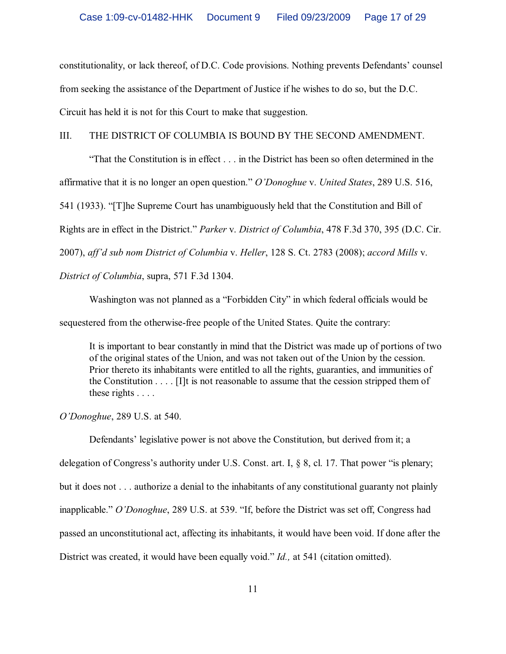constitutionality, or lack thereof, of D.C. Code provisions. Nothing prevents Defendants' counsel from seeking the assistance of the Department of Justice if he wishes to do so, but the D.C. Circuit has held it is not for this Court to make that suggestion.

#### III. THE DISTRICT OF COLUMBIA IS BOUND BY THE SECOND AMENDMENT.

"That the Constitution is in effect . . . in the District has been so often determined in the affirmative that it is no longer an open question." *O'Donoghue* v. *United States*, 289 U.S. 516, 541 (1933). "[T]he Supreme Court has unambiguously held that the Constitution and Bill of Rights are in effect in the District." *Parker* v. *District of Columbia*, 478 F.3d 370, 395 (D.C. Cir. 2007), *aff'd sub nom District of Columbia* v. *Heller*, 128 S. Ct. 2783 (2008); *accord Mills* v.

*District of Columbia*, supra, 571 F.3d 1304.

Washington was not planned as a "Forbidden City" in which federal officials would be sequestered from the otherwise-free people of the United States. Quite the contrary:

It is important to bear constantly in mind that the District was made up of portions of two of the original states of the Union, and was not taken out of the Union by the cession. Prior thereto its inhabitants were entitled to all the rights, guaranties, and immunities of the Constitution . . . . [I]t is not reasonable to assume that the cession stripped them of these rights . . . .

*O'Donoghue*, 289 U.S. at 540.

Defendants' legislative power is not above the Constitution, but derived from it; a delegation of Congress's authority under U.S. Const. art. I, § 8, cl. 17. That power "is plenary; but it does not . . . authorize a denial to the inhabitants of any constitutional guaranty not plainly inapplicable." *O'Donoghue*, 289 U.S. at 539. "If, before the District was set off, Congress had passed an unconstitutional act, affecting its inhabitants, it would have been void. If done after the District was created, it would have been equally void." *Id.,* at 541 (citation omitted).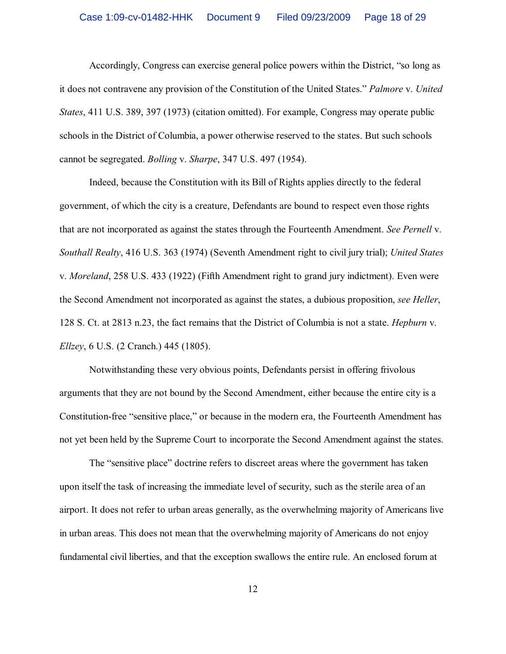Accordingly, Congress can exercise general police powers within the District, "so long as it does not contravene any provision of the Constitution of the United States." *Palmore* v. *United States*, 411 U.S. 389, 397 (1973) (citation omitted). For example, Congress may operate public schools in the District of Columbia, a power otherwise reserved to the states. But such schools cannot be segregated. *Bolling* v. *Sharpe*, 347 U.S. 497 (1954).

Indeed, because the Constitution with its Bill of Rights applies directly to the federal government, of which the city is a creature, Defendants are bound to respect even those rights that are not incorporated as against the states through the Fourteenth Amendment. *See Pernell* v. *Southall Realty*, 416 U.S. 363 (1974) (Seventh Amendment right to civil jury trial); *United States* v. *Moreland*, 258 U.S. 433 (1922) (Fifth Amendment right to grand jury indictment). Even were the Second Amendment not incorporated as against the states, a dubious proposition, *see Heller*, 128 S. Ct. at 2813 n.23, the fact remains that the District of Columbia is not a state. *Hepburn* v. *Ellzey*, 6 U.S. (2 Cranch.) 445 (1805).

Notwithstanding these very obvious points, Defendants persist in offering frivolous arguments that they are not bound by the Second Amendment, either because the entire city is a Constitution-free "sensitive place," or because in the modern era, the Fourteenth Amendment has not yet been held by the Supreme Court to incorporate the Second Amendment against the states.

The "sensitive place" doctrine refers to discreet areas where the government has taken upon itself the task of increasing the immediate level of security, such as the sterile area of an airport. It does not refer to urban areas generally, as the overwhelming majority of Americans live in urban areas. This does not mean that the overwhelming majority of Americans do not enjoy fundamental civil liberties, and that the exception swallows the entire rule. An enclosed forum at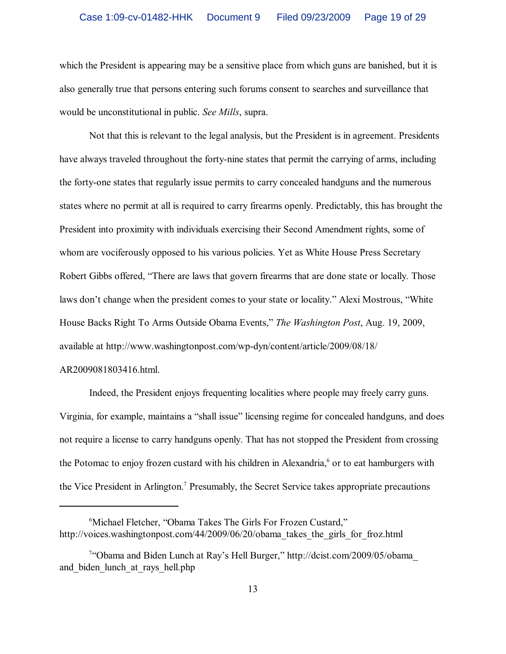which the President is appearing may be a sensitive place from which guns are banished, but it is also generally true that persons entering such forums consent to searches and surveillance that would be unconstitutional in public. *See Mills*, supra.

Not that this is relevant to the legal analysis, but the President is in agreement. Presidents have always traveled throughout the forty-nine states that permit the carrying of arms, including the forty-one states that regularly issue permits to carry concealed handguns and the numerous states where no permit at all is required to carry firearms openly. Predictably, this has brought the President into proximity with individuals exercising their Second Amendment rights, some of whom are vociferously opposed to his various policies. Yet as White House Press Secretary Robert Gibbs offered, "There are laws that govern firearms that are done state or locally. Those laws don't change when the president comes to your state or locality." Alexi Mostrous, "White House Backs Right To Arms Outside Obama Events," *The Washington Post*, Aug. 19, 2009, available at http://www.washingtonpost.com/wp-dyn/content/article/2009/08/18/

#### AR2009081803416.html.

Indeed, the President enjoys frequenting localities where people may freely carry guns. Virginia, for example, maintains a "shall issue" licensing regime for concealed handguns, and does not require a license to carry handguns openly. That has not stopped the President from crossing the Potomac to enjoy frozen custard with his children in Alexandria,<sup>6</sup> or to eat hamburgers with the Vice President in Arlington.<sup>7</sup> Presumably, the Secret Service takes appropriate precautions

<sup>&</sup>lt;sup>6</sup>Michael Fletcher, "Obama Takes The Girls For Frozen Custard," http://voices.washingtonpost.com/44/2009/06/20/obama\_takes\_the\_girls\_for\_froz.html

<sup>&</sup>lt;sup>7</sup>"Obama and Biden Lunch at Ray's Hell Burger," http://dcist.com/2009/05/obama and biden lunch at rays hell.php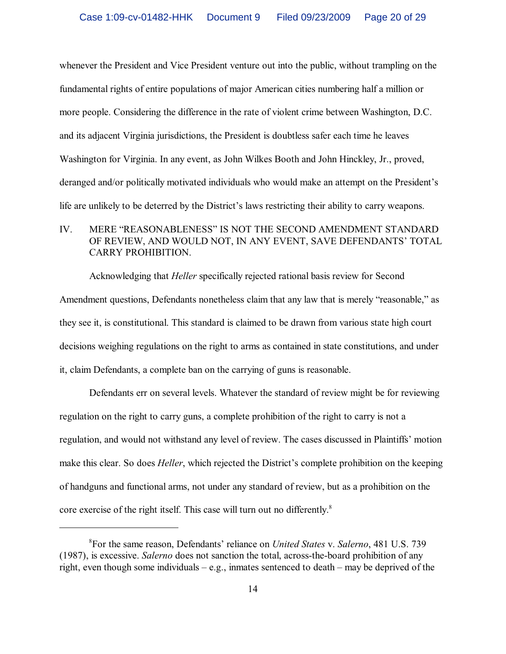whenever the President and Vice President venture out into the public, without trampling on the fundamental rights of entire populations of major American cities numbering half a million or more people. Considering the difference in the rate of violent crime between Washington, D.C. and its adjacent Virginia jurisdictions, the President is doubtless safer each time he leaves Washington for Virginia. In any event, as John Wilkes Booth and John Hinckley, Jr., proved, deranged and/or politically motivated individuals who would make an attempt on the President's life are unlikely to be deterred by the District's laws restricting their ability to carry weapons.

# IV. MERE "REASONABLENESS" IS NOT THE SECOND AMENDMENT STANDARD OF REVIEW, AND WOULD NOT, IN ANY EVENT, SAVE DEFENDANTS' TOTAL CARRY PROHIBITION.

Acknowledging that *Heller* specifically rejected rational basis review for Second Amendment questions, Defendants nonetheless claim that any law that is merely "reasonable," as they see it, is constitutional. This standard is claimed to be drawn from various state high court decisions weighing regulations on the right to arms as contained in state constitutions, and under it, claim Defendants, a complete ban on the carrying of guns is reasonable.

Defendants err on several levels. Whatever the standard of review might be for reviewing regulation on the right to carry guns, a complete prohibition of the right to carry is not a regulation, and would not withstand any level of review. The cases discussed in Plaintiffs' motion make this clear. So does *Heller*, which rejected the District's complete prohibition on the keeping of handguns and functional arms, not under any standard of review, but as a prohibition on the core exercise of the right itself. This case will turn out no differently. 8

For the same reason, Defendants' reliance on *United States* v. *Salerno*, 481 U.S. 739 <sup>8</sup> (1987), is excessive. *Salerno* does not sanction the total, across-the-board prohibition of any right, even though some individuals – e.g., inmates sentenced to death – may be deprived of the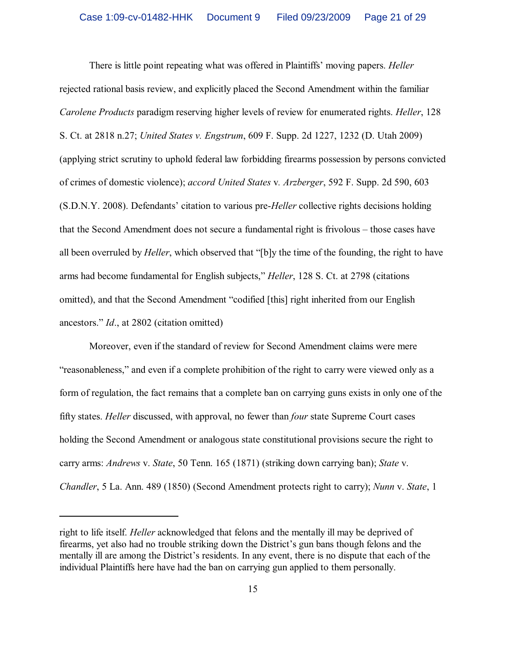There is little point repeating what was offered in Plaintiffs' moving papers. *Heller* rejected rational basis review, and explicitly placed the Second Amendment within the familiar *Carolene Products* paradigm reserving higher levels of review for enumerated rights. *Heller*, 128 S. Ct. at 2818 n.27; *United States v. Engstrum*, 609 F. Supp. 2d 1227, 1232 (D. Utah 2009) (applying strict scrutiny to uphold federal law forbidding firearms possession by persons convicted of crimes of domestic violence); *accord United States* v*. Arzberger*, 592 F. Supp. 2d 590, 603 (S.D.N.Y. 2008). Defendants' citation to various pre-*Heller* collective rights decisions holding that the Second Amendment does not secure a fundamental right is frivolous – those cases have all been overruled by *Heller*, which observed that "[b]y the time of the founding, the right to have arms had become fundamental for English subjects," *Heller*, 128 S. Ct. at 2798 (citations omitted), and that the Second Amendment "codified [this] right inherited from our English ancestors." *Id*., at 2802 (citation omitted)

Moreover, even if the standard of review for Second Amendment claims were mere "reasonableness," and even if a complete prohibition of the right to carry were viewed only as a form of regulation, the fact remains that a complete ban on carrying guns exists in only one of the fifty states. *Heller* discussed, with approval, no fewer than *four* state Supreme Court cases holding the Second Amendment or analogous state constitutional provisions secure the right to carry arms: *Andrews* v. *State*, 50 Tenn. 165 (1871) (striking down carrying ban); *State* v. *Chandler*, 5 La. Ann. 489 (1850) (Second Amendment protects right to carry); *Nunn* v. *State*, 1

right to life itself. *Heller* acknowledged that felons and the mentally ill may be deprived of firearms, yet also had no trouble striking down the District's gun bans though felons and the mentally ill are among the District's residents. In any event, there is no dispute that each of the individual Plaintiffs here have had the ban on carrying gun applied to them personally.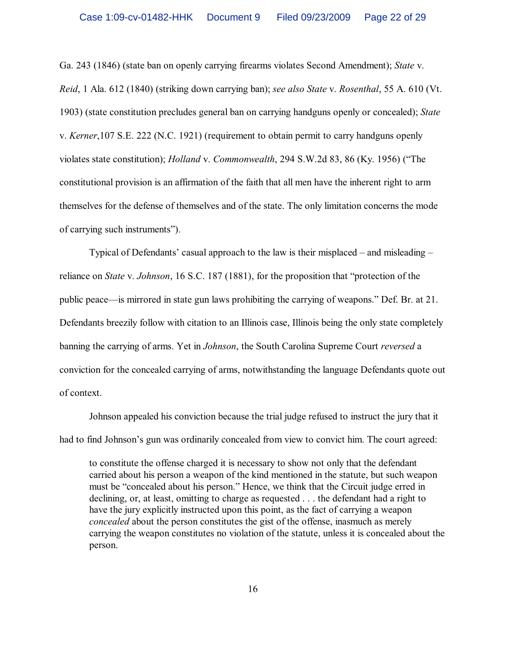Ga. 243 (1846) (state ban on openly carrying firearms violates Second Amendment); *State* v. *Reid*, 1 Ala. 612 (1840) (striking down carrying ban); *see also State* v. *Rosenthal*, 55 A. 610 (Vt. 1903) (state constitution precludes general ban on carrying handguns openly or concealed); *State* v. *Kerner*,107 S.E. 222 (N.C. 1921) (requirement to obtain permit to carry handguns openly violates state constitution); *Holland* v. *Commonwealth*, 294 S.W.2d 83, 86 (Ky. 1956) ("The constitutional provision is an affirmation of the faith that all men have the inherent right to arm themselves for the defense of themselves and of the state. The only limitation concerns the mode of carrying such instruments").

Typical of Defendants' casual approach to the law is their misplaced – and misleading – reliance on *State* v. *Johnson*, 16 S.C. 187 (1881), for the proposition that "protection of the public peace—is mirrored in state gun laws prohibiting the carrying of weapons." Def. Br. at 21. Defendants breezily follow with citation to an Illinois case, Illinois being the only state completely banning the carrying of arms. Yet in *Johnson*, the South Carolina Supreme Court *reversed* a conviction for the concealed carrying of arms, notwithstanding the language Defendants quote out of context.

Johnson appealed his conviction because the trial judge refused to instruct the jury that it had to find Johnson's gun was ordinarily concealed from view to convict him. The court agreed:

to constitute the offense charged it is necessary to show not only that the defendant carried about his person a weapon of the kind mentioned in the statute, but such weapon must be "concealed about his person." Hence, we think that the Circuit judge erred in declining, or, at least, omitting to charge as requested . . . the defendant had a right to have the jury explicitly instructed upon this point, as the fact of carrying a weapon *concealed* about the person constitutes the gist of the offense, inasmuch as merely carrying the weapon constitutes no violation of the statute, unless it is concealed about the person.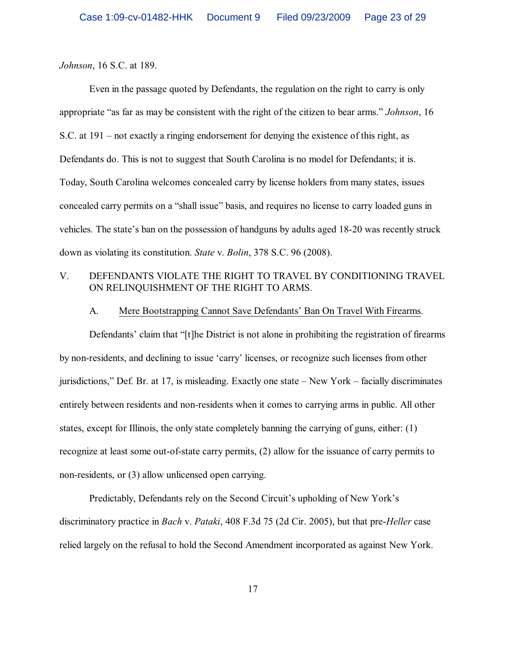*Johnson*, 16 S.C. at 189.

Even in the passage quoted by Defendants, the regulation on the right to carry is only appropriate "as far as may be consistent with the right of the citizen to bear arms." *Johnson*, 16 S.C. at 191 – not exactly a ringing endorsement for denying the existence of this right, as Defendants do. This is not to suggest that South Carolina is no model for Defendants; it is. Today, South Carolina welcomes concealed carry by license holders from many states, issues concealed carry permits on a "shall issue" basis, and requires no license to carry loaded guns in vehicles. The state's ban on the possession of handguns by adults aged 18-20 was recently struck down as violating its constitution. *State* v. *Bolin*, 378 S.C. 96 (2008).

# V. DEFENDANTS VIOLATE THE RIGHT TO TRAVEL BY CONDITIONING TRAVEL ON RELINQUISHMENT OF THE RIGHT TO ARMS.

### A. Mere Bootstrapping Cannot Save Defendants' Ban On Travel With Firearms.

Defendants' claim that "[t]he District is not alone in prohibiting the registration of firearms by non-residents, and declining to issue 'carry' licenses, or recognize such licenses from other jurisdictions," Def. Br. at 17, is misleading. Exactly one state – New York – facially discriminates entirely between residents and non-residents when it comes to carrying arms in public. All other states, except for Illinois, the only state completely banning the carrying of guns, either: (1) recognize at least some out-of-state carry permits, (2) allow for the issuance of carry permits to non-residents, or (3) allow unlicensed open carrying.

Predictably, Defendants rely on the Second Circuit's upholding of New York's discriminatory practice in *Bach* v. *Pataki*, 408 F.3d 75 (2d Cir. 2005), but that pre-*Heller* case relied largely on the refusal to hold the Second Amendment incorporated as against New York.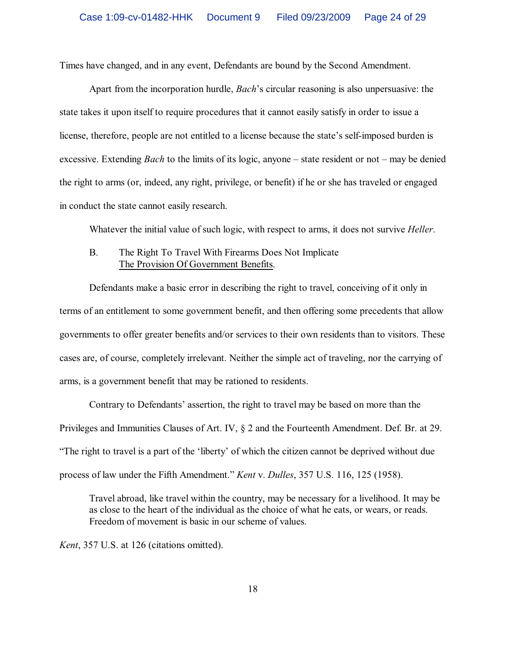Times have changed, and in any event, Defendants are bound by the Second Amendment.

Apart from the incorporation hurdle, *Bach*'s circular reasoning is also unpersuasive: the state takes it upon itself to require procedures that it cannot easily satisfy in order to issue a license, therefore, people are not entitled to a license because the state's self-imposed burden is excessive. Extending *Bach* to the limits of its logic, anyone – state resident or not – may be denied the right to arms (or, indeed, any right, privilege, or benefit) if he or she has traveled or engaged in conduct the state cannot easily research.

Whatever the initial value of such logic, with respect to arms, it does not survive *Heller*.

## B. The Right To Travel With Firearms Does Not Implicate The Provision Of Government Benefits.

Defendants make a basic error in describing the right to travel, conceiving of it only in terms of an entitlement to some government benefit, and then offering some precedents that allow governments to offer greater benefits and/or services to their own residents than to visitors. These cases are, of course, completely irrelevant. Neither the simple act of traveling, nor the carrying of arms, is a government benefit that may be rationed to residents.

Contrary to Defendants' assertion, the right to travel may be based on more than the Privileges and Immunities Clauses of Art. IV, § 2 and the Fourteenth Amendment. Def. Br. at 29. "The right to travel is a part of the 'liberty' of which the citizen cannot be deprived without due process of law under the Fifth Amendment." *Kent* v. *Dulles*, 357 U.S. 116, 125 (1958).

Travel abroad, like travel within the country, may be necessary for a livelihood. It may be as close to the heart of the individual as the choice of what he eats, or wears, or reads. Freedom of movement is basic in our scheme of values.

*Kent*, 357 U.S. at 126 (citations omitted).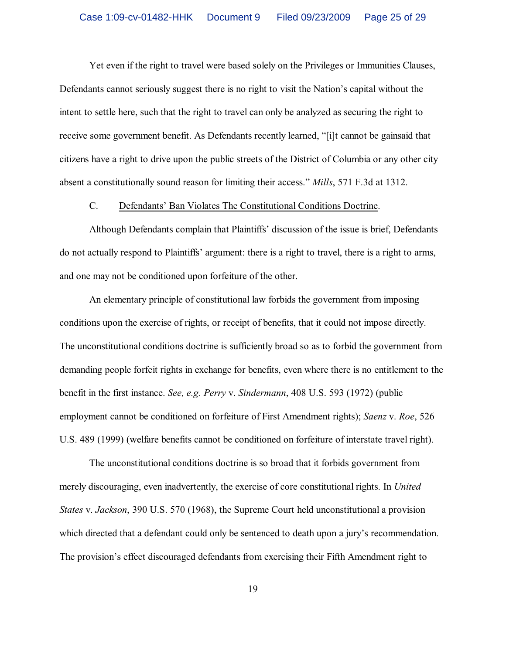Yet even if the right to travel were based solely on the Privileges or Immunities Clauses, Defendants cannot seriously suggest there is no right to visit the Nation's capital without the intent to settle here, such that the right to travel can only be analyzed as securing the right to receive some government benefit. As Defendants recently learned, "[i]t cannot be gainsaid that citizens have a right to drive upon the public streets of the District of Columbia or any other city absent a constitutionally sound reason for limiting their access." *Mills*, 571 F.3d at 1312.

#### C. Defendants' Ban Violates The Constitutional Conditions Doctrine.

Although Defendants complain that Plaintiffs' discussion of the issue is brief, Defendants do not actually respond to Plaintiffs' argument: there is a right to travel, there is a right to arms, and one may not be conditioned upon forfeiture of the other.

An elementary principle of constitutional law forbids the government from imposing conditions upon the exercise of rights, or receipt of benefits, that it could not impose directly. The unconstitutional conditions doctrine is sufficiently broad so as to forbid the government from demanding people forfeit rights in exchange for benefits, even where there is no entitlement to the benefit in the first instance. *See, e.g. Perry* v. *Sindermann*, 408 U.S. 593 (1972) (public employment cannot be conditioned on forfeiture of First Amendment rights); *Saenz* v. *Roe*, 526 U.S. 489 (1999) (welfare benefits cannot be conditioned on forfeiture of interstate travel right).

The unconstitutional conditions doctrine is so broad that it forbids government from merely discouraging, even inadvertently, the exercise of core constitutional rights. In *United States* v. *Jackson*, 390 U.S. 570 (1968), the Supreme Court held unconstitutional a provision which directed that a defendant could only be sentenced to death upon a jury's recommendation. The provision's effect discouraged defendants from exercising their Fifth Amendment right to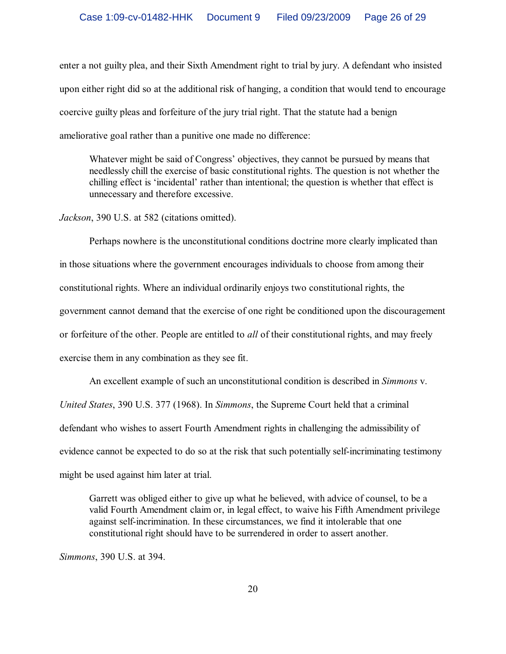enter a not guilty plea, and their Sixth Amendment right to trial by jury. A defendant who insisted upon either right did so at the additional risk of hanging, a condition that would tend to encourage coercive guilty pleas and forfeiture of the jury trial right. That the statute had a benign ameliorative goal rather than a punitive one made no difference:

Whatever might be said of Congress' objectives, they cannot be pursued by means that needlessly chill the exercise of basic constitutional rights. The question is not whether the chilling effect is 'incidental' rather than intentional; the question is whether that effect is unnecessary and therefore excessive.

*Jackson*, 390 U.S. at 582 (citations omitted).

Perhaps nowhere is the unconstitutional conditions doctrine more clearly implicated than in those situations where the government encourages individuals to choose from among their constitutional rights. Where an individual ordinarily enjoys two constitutional rights, the government cannot demand that the exercise of one right be conditioned upon the discouragement or forfeiture of the other. People are entitled to *all* of their constitutional rights, and may freely exercise them in any combination as they see fit.

An excellent example of such an unconstitutional condition is described in *Simmons* v. *United States*, 390 U.S. 377 (1968). In *Simmons*, the Supreme Court held that a criminal defendant who wishes to assert Fourth Amendment rights in challenging the admissibility of evidence cannot be expected to do so at the risk that such potentially self-incriminating testimony might be used against him later at trial.

Garrett was obliged either to give up what he believed, with advice of counsel, to be a valid Fourth Amendment claim or, in legal effect, to waive his Fifth Amendment privilege against self-incrimination. In these circumstances, we find it intolerable that one constitutional right should have to be surrendered in order to assert another.

*Simmons*, 390 U.S. at 394.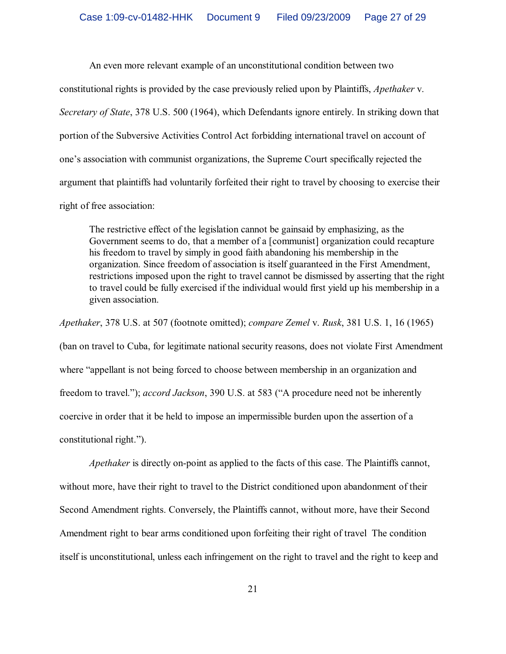An even more relevant example of an unconstitutional condition between two

constitutional rights is provided by the case previously relied upon by Plaintiffs, *Apethaker* v. *Secretary of State*, 378 U.S. 500 (1964), which Defendants ignore entirely. In striking down that portion of the Subversive Activities Control Act forbidding international travel on account of one's association with communist organizations, the Supreme Court specifically rejected the argument that plaintiffs had voluntarily forfeited their right to travel by choosing to exercise their right of free association:

The restrictive effect of the legislation cannot be gainsaid by emphasizing, as the Government seems to do, that a member of a [communist] organization could recapture his freedom to travel by simply in good faith abandoning his membership in the organization. Since freedom of association is itself guaranteed in the First Amendment, restrictions imposed upon the right to travel cannot be dismissed by asserting that the right to travel could be fully exercised if the individual would first yield up his membership in a given association.

*Apethaker*, 378 U.S. at 507 (footnote omitted); *compare Zemel* v. *Rusk*, 381 U.S. 1, 16 (1965)

(ban on travel to Cuba, for legitimate national security reasons, does not violate First Amendment where "appellant is not being forced to choose between membership in an organization and freedom to travel."); *accord Jackson*, 390 U.S. at 583 ("A procedure need not be inherently coercive in order that it be held to impose an impermissible burden upon the assertion of a constitutional right.").

*Apethaker* is directly on-point as applied to the facts of this case. The Plaintiffs cannot, without more, have their right to travel to the District conditioned upon abandonment of their Second Amendment rights. Conversely, the Plaintiffs cannot, without more, have their Second Amendment right to bear arms conditioned upon forfeiting their right of travel The condition itself is unconstitutional, unless each infringement on the right to travel and the right to keep and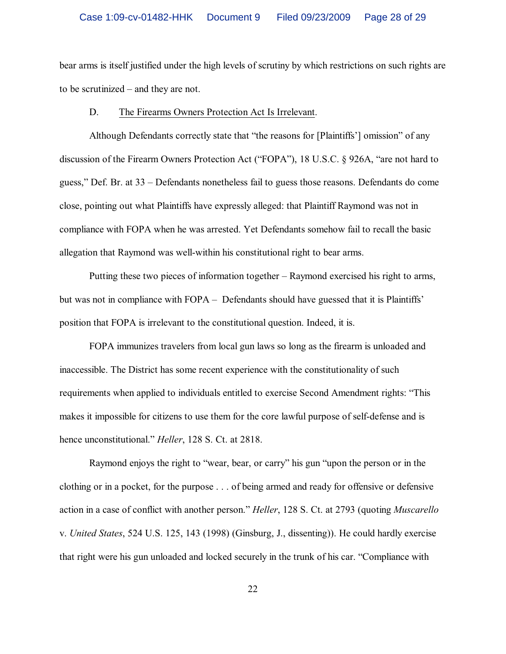bear arms is itself justified under the high levels of scrutiny by which restrictions on such rights are to be scrutinized – and they are not.

#### D. The Firearms Owners Protection Act Is Irrelevant.

Although Defendants correctly state that "the reasons for [Plaintiffs'] omission" of any discussion of the Firearm Owners Protection Act ("FOPA"), 18 U.S.C. § 926A, "are not hard to guess," Def. Br. at 33 – Defendants nonetheless fail to guess those reasons. Defendants do come close, pointing out what Plaintiffs have expressly alleged: that Plaintiff Raymond was not in compliance with FOPA when he was arrested. Yet Defendants somehow fail to recall the basic allegation that Raymond was well-within his constitutional right to bear arms.

Putting these two pieces of information together – Raymond exercised his right to arms, but was not in compliance with FOPA – Defendants should have guessed that it is Plaintiffs' position that FOPA is irrelevant to the constitutional question. Indeed, it is.

FOPA immunizes travelers from local gun laws so long as the firearm is unloaded and inaccessible. The District has some recent experience with the constitutionality of such requirements when applied to individuals entitled to exercise Second Amendment rights: "This makes it impossible for citizens to use them for the core lawful purpose of self-defense and is hence unconstitutional." *Heller*, 128 S. Ct. at 2818.

Raymond enjoys the right to "wear, bear, or carry" his gun "upon the person or in the clothing or in a pocket, for the purpose . . . of being armed and ready for offensive or defensive action in a case of conflict with another person." *Heller*, 128 S. Ct. at 2793 (quoting *Muscarello* v. *United States*, 524 U.S. 125, 143 (1998) (Ginsburg, J., dissenting)). He could hardly exercise that right were his gun unloaded and locked securely in the trunk of his car. "Compliance with